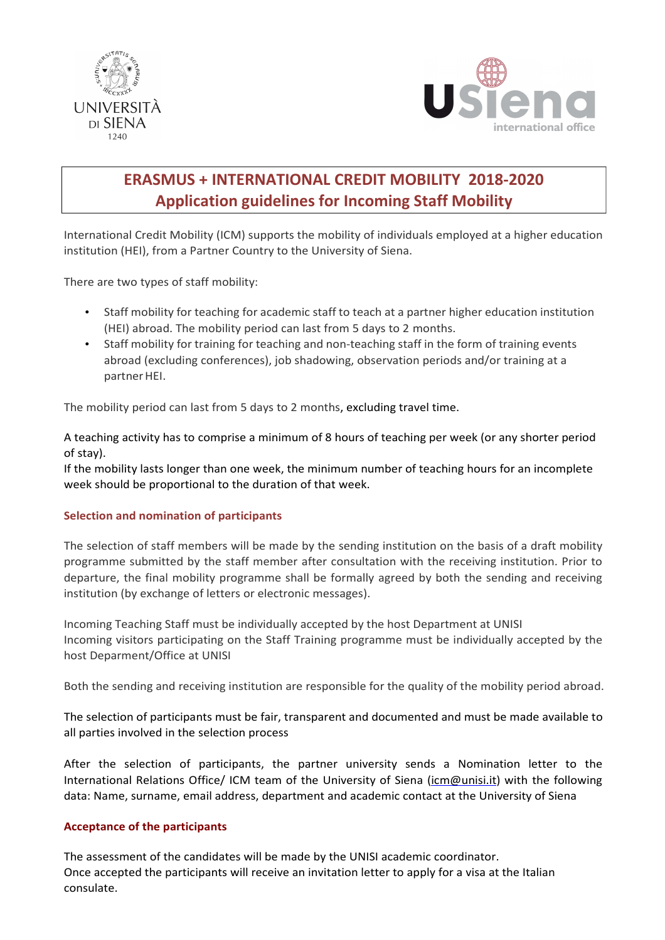



# **ERASMUS + INTERNATIONAL CREDIT MOBILITY 2018-2020 Application guidelines for Incoming Staff Mobility**

International Credit Mobility (ICM) supports the mobility of individuals employed at a higher education institution (HEI), from a Partner Country to the University of Siena.

There are two types of staff mobility:

- Staff mobility for teaching for academic staff to teach at a partner higher education institution (HEI) abroad. The mobility period can last from 5 days to 2 months.
- Staff mobility for training for teaching and non-teaching staff in the form of training events abroad (excluding conferences), job shadowing, observation periods and/or training at a partner HEI.

The mobility period can last from 5 days to 2 months, excluding travel time.

A teaching activity has to comprise a minimum of 8 hours of teaching per week (or any shorter period of stay).

If the mobility lasts longer than one week, the minimum number of teaching hours for an incomplete week should be proportional to the duration of that week.

# **Selection and nomination of participants**

The selection of staff members will be made by the sending institution on the basis of a draft mobility programme submitted by the staff member after consultation with the receiving institution. Prior to departure, the final mobility programme shall be formally agreed by both the sending and receiving institution (by exchange of letters or electronic messages).

Incoming Teaching Staff must be individually accepted by the host Department at UNISI Incoming visitors participating on the Staff Training programme must be individually accepted by the host Deparment/Office at UNISI

Both the sending and receiving institution are responsible for the quality of the mobility period abroad.

The selection of participants must be fair, transparent and documented and must be made available to all parties involved in the selection process

After the selection of participants, the partner university sends a Nomination letter to the International Relations Office/ ICM team of the University of Siena (icm@unisi.it) with the following data: Name, surname, email address, department and academic contact at the University of Siena

# **Acceptance of the participants**

The assessment of the candidates will be made by the UNISI academic coordinator. Once accepted the participants will receive an invitation letter to apply for a visa at the Italian consulate.